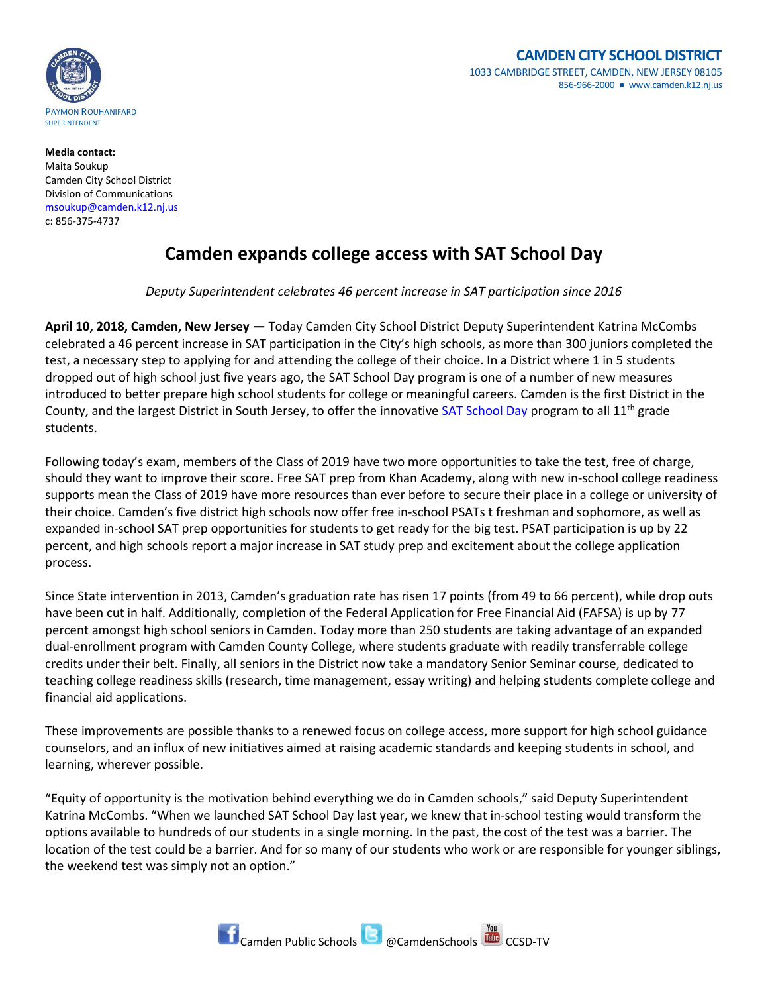

## **CAMDEN CITY SCHOOL DISTRICT** 1033 CAMBRIDGE STREET, CAMDEN, NEW JERSEY 08105 856-966-2000 ● www.camden.k12.nj.us

**Media contact:** Maita Soukup Camden City School District Division of Communications [msoukup@camden.k12.nj.us](mailto:msoukup@camden.k12.nj.us) c: 856-375-4737

## **Camden expands college access with SAT School Day**

*Deputy Superintendent celebrates 46 percent increase in SAT participation since 2016*

**April 10, 2018, Camden, New Jersey —** Today Camden City School District Deputy Superintendent Katrina McCombs celebrated a 46 percent increase in SAT participation in the City's high schools, as more than 300 juniors completed the test, a necessary step to applying for and attending the college of their choice. In a District where 1 in 5 students dropped out of high school just five years ago, the SAT School Day program is one of a number of new measures introduced to better prepare high school students for college or meaningful careers. Camden is the first District in the County, and the largest District in South Jersey, to offer the innovative [SAT School Day](https://collegereadiness.collegeboard.org/sat/k12-educators/sat-school-day) program to all  $11^{th}$  grade students.

Following today's exam, members of the Class of 2019 have two more opportunities to take the test, free of charge, should they want to improve their score. Free SAT prep from Khan Academy, along with new in-school college readiness supports mean the Class of 2019 have more resources than ever before to secure their place in a college or university of their choice. Camden's five district high schools now offer free in-school PSATs t freshman and sophomore, as well as expanded in-school SAT prep opportunities for students to get ready for the big test. PSAT participation is up by 22 percent, and high schools report a major increase in SAT study prep and excitement about the college application process.

Since State intervention in 2013, Camden's graduation rate has risen 17 points (from 49 to 66 percent), while drop outs have been cut in half. Additionally, completion of the Federal Application for Free Financial Aid (FAFSA) is up by 77 percent amongst high school seniors in Camden. Today more than 250 students are taking advantage of an expanded dual-enrollment program with Camden County College, where students graduate with readily transferrable college credits under their belt. Finally, all seniors in the District now take a mandatory Senior Seminar course, dedicated to teaching college readiness skills (research, time management, essay writing) and helping students complete college and financial aid applications.

These improvements are possible thanks to a renewed focus on college access, more support for high school guidance counselors, and an influx of new initiatives aimed at raising academic standards and keeping students in school, and learning, wherever possible.

"Equity of opportunity is the motivation behind everything we do in Camden schools," said Deputy Superintendent Katrina McCombs. "When we launched SAT School Day last year, we knew that in-school testing would transform the options available to hundreds of our students in a single morning. In the past, the cost of the test was a barrier. The location of the test could be a barrier. And for so many of our students who work or are responsible for younger siblings, the weekend test was simply not an option."